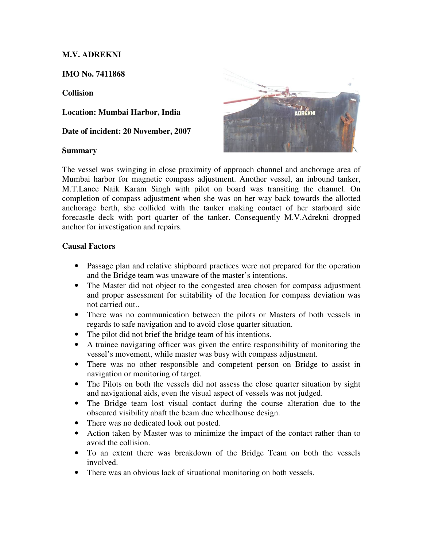# **M.V. ADREKNI**

**IMO No. 7411868** 

### **Collision**

**Location: Mumbai Harbor, India** 

**Date of incident: 20 November, 2007**

#### **Summary**



The vessel was swinging in close proximity of approach channel and anchorage area of Mumbai harbor for magnetic compass adjustment. Another vessel, an inbound tanker, M.T.Lance Naik Karam Singh with pilot on board was transiting the channel. On completion of compass adjustment when she was on her way back towards the allotted anchorage berth, she collided with the tanker making contact of her starboard side forecastle deck with port quarter of the tanker. Consequently M.V.Adrekni dropped anchor for investigation and repairs.

### **Causal Factors**

- Passage plan and relative shipboard practices were not prepared for the operation and the Bridge team was unaware of the master's intentions.
- The Master did not object to the congested area chosen for compass adjustment and proper assessment for suitability of the location for compass deviation was not carried out..
- There was no communication between the pilots or Masters of both vessels in regards to safe navigation and to avoid close quarter situation.
- The pilot did not brief the bridge team of his intentions.
- A trainee navigating officer was given the entire responsibility of monitoring the vessel's movement, while master was busy with compass adjustment.
- There was no other responsible and competent person on Bridge to assist in navigation or monitoring of target.
- The Pilots on both the vessels did not assess the close quarter situation by sight and navigational aids, even the visual aspect of vessels was not judged.
- The Bridge team lost visual contact during the course alteration due to the obscured visibility abaft the beam due wheelhouse design.
- There was no dedicated look out posted.
- Action taken by Master was to minimize the impact of the contact rather than to avoid the collision.
- To an extent there was breakdown of the Bridge Team on both the vessels involved.
- There was an obvious lack of situational monitoring on both vessels.